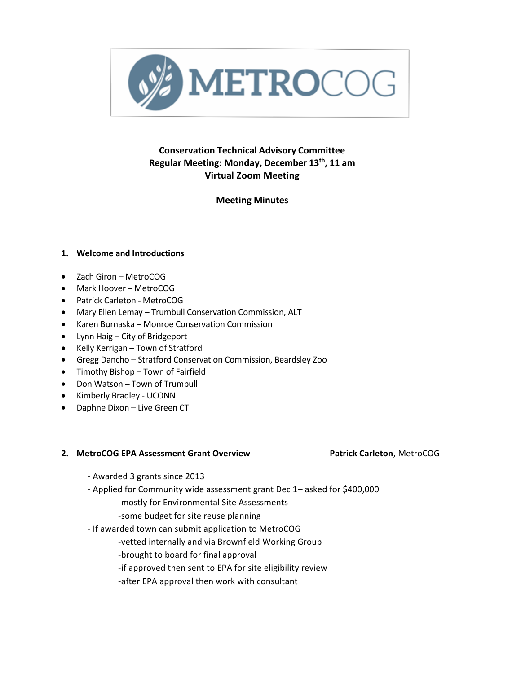

# **Conservation Technical Advisory Committee Regular Meeting: Monday, December 13th , 11 am Virtual Zoom Meeting**

## **Meeting Minutes**

## **1. Welcome and Introductions**

- Zach Giron MetroCOG
- Mark Hoover MetroCOG
- Patrick Carleton MetroCOG
- Mary Ellen Lemay Trumbull Conservation Commission, ALT
- Karen Burnaska Monroe Conservation Commission
- Lynn Haig City of Bridgeport
- Kelly Kerrigan Town of Stratford
- Gregg Dancho Stratford Conservation Commission, Beardsley Zoo
- Timothy Bishop Town of Fairfield
- Don Watson Town of Trumbull
- Kimberly Bradley UCONN
- Daphne Dixon Live Green CT

## **2. MetroCOG EPA Assessment Grant Overview Patrick Carleton**, MetroCOG

- Awarded 3 grants since 2013
- Applied for Community wide assessment grant Dec 1– asked for \$400,000 -mostly for Environmental Site Assessments
	- -some budget for site reuse planning
- If awarded town can submit application to MetroCOG
	- -vetted internally and via Brownfield Working Group
	- -brought to board for final approval
	- -if approved then sent to EPA for site eligibility review
	- -after EPA approval then work with consultant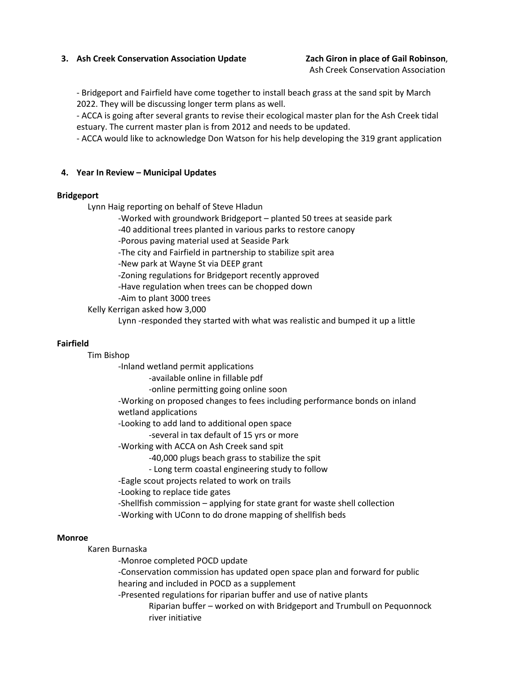## **3. Ash Creek Conservation Association Update Zach Giron in place of Gail Robinson**,

Ash Creek Conservation Association

- Bridgeport and Fairfield have come together to install beach grass at the sand spit by March 2022. They will be discussing longer term plans as well.

- ACCA is going after several grants to revise their ecological master plan for the Ash Creek tidal estuary. The current master plan is from 2012 and needs to be updated.

- ACCA would like to acknowledge Don Watson for his help developing the 319 grant application

### **4. Year In Review – Municipal Updates**

#### **Bridgeport**

Lynn Haig reporting on behalf of Steve Hladun

-Worked with groundwork Bridgeport – planted 50 trees at seaside park

-40 additional trees planted in various parks to restore canopy

-Porous paving material used at Seaside Park

-The city and Fairfield in partnership to stabilize spit area

-New park at Wayne St via DEEP grant

-Zoning regulations for Bridgeport recently approved

-Have regulation when trees can be chopped down

-Aim to plant 3000 trees

Kelly Kerrigan asked how 3,000

Lynn -responded they started with what was realistic and bumped it up a little

#### **Fairfield**

Tim Bishop

-Inland wetland permit applications

-available online in fillable pdf

-online permitting going online soon

-Working on proposed changes to fees including performance bonds on inland wetland applications

-Looking to add land to additional open space

-several in tax default of 15 yrs or more

-Working with ACCA on Ash Creek sand spit

-40,000 plugs beach grass to stabilize the spit

- Long term coastal engineering study to follow

-Eagle scout projects related to work on trails

-Looking to replace tide gates

-Shellfish commission – applying for state grant for waste shell collection

-Working with UConn to do drone mapping of shellfish beds

#### **Monroe**

Karen Burnaska

-Monroe completed POCD update

-Conservation commission has updated open space plan and forward for public hearing and included in POCD as a supplement

-Presented regulations for riparian buffer and use of native plants

Riparian buffer – worked on with Bridgeport and Trumbull on Pequonnock river initiative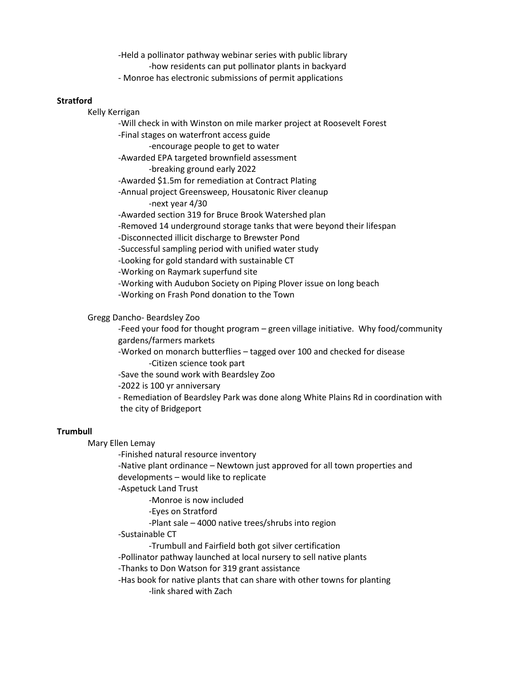-Held a pollinator pathway webinar series with public library -how residents can put pollinator plants in backyard - Monroe has electronic submissions of permit applications

#### **Stratford**

Kelly Kerrigan

-Will check in with Winston on mile marker project at Roosevelt Forest -Final stages on waterfront access guide -encourage people to get to water -Awarded EPA targeted brownfield assessment -breaking ground early 2022 -Awarded \$1.5m for remediation at Contract Plating -Annual project Greensweep, Housatonic River cleanup -next year 4/30 -Awarded section 319 for Bruce Brook Watershed plan -Removed 14 underground storage tanks that were beyond their lifespan -Disconnected illicit discharge to Brewster Pond -Successful sampling period with unified water study -Looking for gold standard with sustainable CT -Working on Raymark superfund site -Working with Audubon Society on Piping Plover issue on long beach -Working on Frash Pond donation to the Town

Gregg Dancho- Beardsley Zoo

-Feed your food for thought program – green village initiative. Why food/community gardens/farmers markets

-Worked on monarch butterflies – tagged over 100 and checked for disease -Citizen science took part

-Save the sound work with Beardsley Zoo

-2022 is 100 yr anniversary

- Remediation of Beardsley Park was done along White Plains Rd in coordination with the city of Bridgeport

#### **Trumbull**

Mary Ellen Lemay

-Finished natural resource inventory

-Native plant ordinance – Newtown just approved for all town properties and developments – would like to replicate

-Aspetuck Land Trust

-Monroe is now included

-Eyes on Stratford

-Plant sale – 4000 native trees/shrubs into region

-Sustainable CT

-Trumbull and Fairfield both got silver certification

-Pollinator pathway launched at local nursery to sell native plants

-Thanks to Don Watson for 319 grant assistance

-Has book for native plants that can share with other towns for planting -link shared with Zach